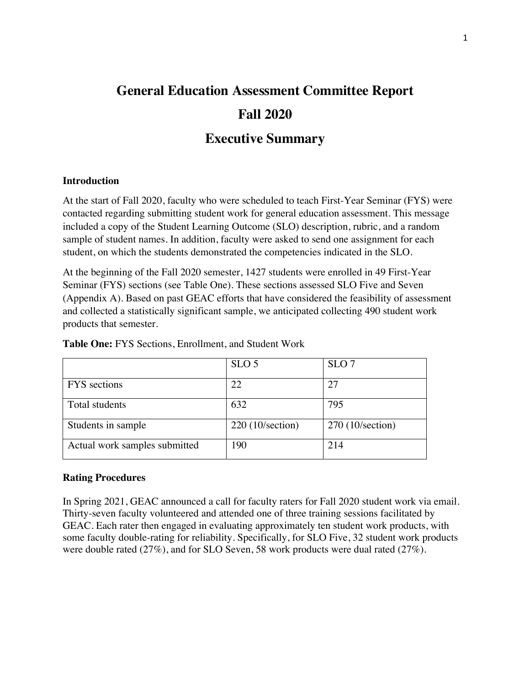# **General Education Assessment Committee Report Fall 2020**

# **Executive Summary**

## **Introduction**

At the start of Fall 2020, faculty who were scheduled to teach First-Year Seminar (FYS) were contacted regarding submitting student work for general education assessment. This message included a copy of the Student Learning Outcome (SLO) description, rubric, and a random sample of student names. In addition, faculty were asked to send one assignment for each student, on which the students demonstrated the competencies indicated in the SLO.

At the beginning of the Fall 2020 semester, 1427 students were enrolled in 49 First-Year Seminar (FYS) sections (see Table One). These sections assessed SLO Five and Seven (Appendix A). Based on past GEAC efforts that have considered the feasibility of assessment and collected a statistically significant sample, we anticipated collecting 490 student work products that semester.

|                               | SLO <sub>5</sub>         | SLO <sub>7</sub>         |
|-------------------------------|--------------------------|--------------------------|
| <b>FYS</b> sections           | 22                       | 27                       |
| Total students                | 632                      | 795                      |
| Students in sample            | $220(10/\text{section})$ | $270(10/\text{section})$ |
| Actual work samples submitted | 190                      | 214                      |

**Table One:** FYS Sections, Enrollment, and Student Work

## **Rating Procedures**

In Spring 2021, GEAC announced a call for faculty raters for Fall 2020 student work via email. Thirty-seven faculty volunteered and attended one of three training sessions facilitated by GEAC. Each rater then engaged in evaluating approximately ten student work products, with some faculty double-rating for reliability. Specifically, for SLO Five, 32 student work products were double rated (27%), and for SLO Seven, 58 work products were dual rated (27%).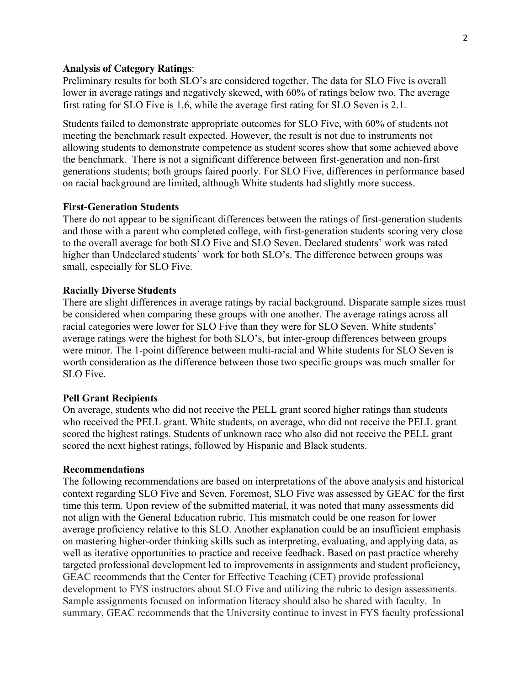#### **Analysis of Category Ratings**:

Preliminary results for both SLO's are considered together. The data for SLO Five is overall lower in average ratings and negatively skewed, with 60% of ratings below two. The average first rating for SLO Five is 1.6, while the average first rating for SLO Seven is 2.1.

Students failed to demonstrate appropriate outcomes for SLO Five, with 60% of students not meeting the benchmark result expected. However, the result is not due to instruments not allowing students to demonstrate competence as student scores show that some achieved above the benchmark. There is not a significant difference between first-generation and non-first generations students; both groups faired poorly. For SLO Five, differences in performance based on racial background are limited, although White students had slightly more success.

#### **First-Generation Students**

There do not appear to be significant differences between the ratings of first-generation students and those with a parent who completed college, with first-generation students scoring very close to the overall average for both SLO Five and SLO Seven. Declared students' work was rated higher than Undeclared students' work for both SLO's. The difference between groups was small, especially for SLO Five.

### **Racially Diverse Students**

There are slight differences in average ratings by racial background. Disparate sample sizes must be considered when comparing these groups with one another. The average ratings across all racial categories were lower for SLO Five than they were for SLO Seven. White students' average ratings were the highest for both SLO's, but inter-group differences between groups were minor. The 1-point difference between multi-racial and White students for SLO Seven is worth consideration as the difference between those two specific groups was much smaller for SLO Five.

#### **Pell Grant Recipients**

On average, students who did not receive the PELL grant scored higher ratings than students who received the PELL grant. White students, on average, who did not receive the PELL grant scored the highest ratings. Students of unknown race who also did not receive the PELL grant scored the next highest ratings, followed by Hispanic and Black students.

#### **Recommendations**

The following recommendations are based on interpretations of the above analysis and historical context regarding SLO Five and Seven. Foremost, SLO Five was assessed by GEAC for the first time this term. Upon review of the submitted material, it was noted that many assessments did not align with the General Education rubric. This mismatch could be one reason for lower average proficiency relative to this SLO. Another explanation could be an insufficient emphasis on mastering higher-order thinking skills such as interpreting, evaluating, and applying data, as well as iterative opportunities to practice and receive feedback. Based on past practice whereby targeted professional development led to improvements in assignments and student proficiency, GEAC recommends that the Center for Effective Teaching (CET) provide professional development to FYS instructors about SLO Five and utilizing the rubric to design assessments. Sample assignments focused on information literacy should also be shared with faculty. In summary, GEAC recommends that the University continue to invest in FYS faculty professional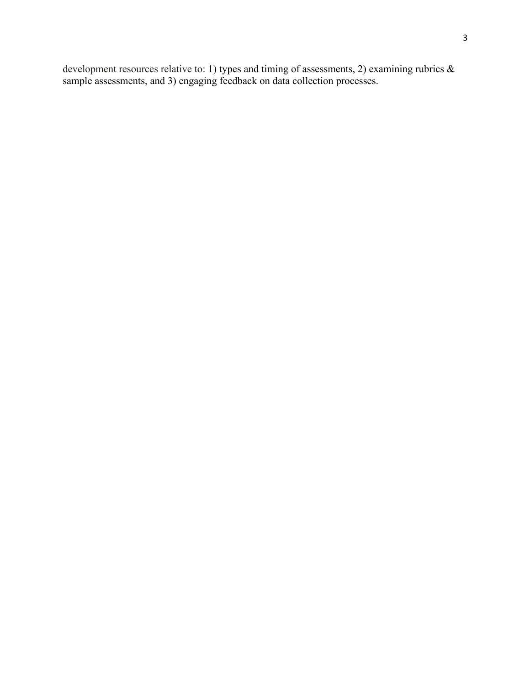development resources relative to: 1) types and timing of assessments, 2) examining rubrics & sample assessments, and 3) engaging feedback on data collection processes.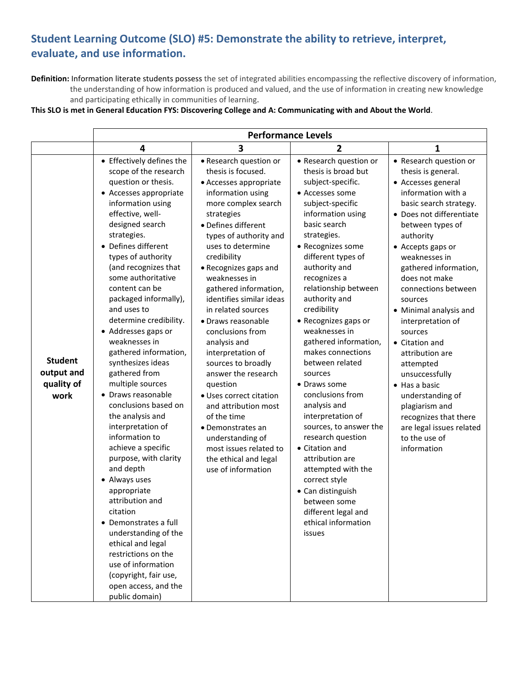# **Student Learning Outcome (SLO) #5: Demonstrate the ability to retrieve, interpret, evaluate, and use information.**

**Definition:** Information literate students possess the set of integrated abilities encompassing the reflective discovery of information, the understanding of how information is produced and valued, and the use of information in creating new knowledge and participating ethically in communities of learning.

#### **This SLO is met in General Education FYS: Discovering College and A: Communicating with and About the World**.

|                                                    | <b>Performance Levels</b>                                                                                                                                                                                                                                                                                                                                                                                                                                                                                                                                                                                                                                                                                                                                                                                                                                                                                          |                                                                                                                                                                                                                                                                                                                                                                                                                                                                                                                                                                                                                                                                        |                                                                                                                                                                                                                                                                                                                                                                                                                                                                                                                                                                                                                                                                                                                         |                                                                                                                                                                                                                                                                                                                                                                                                                                                                                                                                                                             |  |
|----------------------------------------------------|--------------------------------------------------------------------------------------------------------------------------------------------------------------------------------------------------------------------------------------------------------------------------------------------------------------------------------------------------------------------------------------------------------------------------------------------------------------------------------------------------------------------------------------------------------------------------------------------------------------------------------------------------------------------------------------------------------------------------------------------------------------------------------------------------------------------------------------------------------------------------------------------------------------------|------------------------------------------------------------------------------------------------------------------------------------------------------------------------------------------------------------------------------------------------------------------------------------------------------------------------------------------------------------------------------------------------------------------------------------------------------------------------------------------------------------------------------------------------------------------------------------------------------------------------------------------------------------------------|-------------------------------------------------------------------------------------------------------------------------------------------------------------------------------------------------------------------------------------------------------------------------------------------------------------------------------------------------------------------------------------------------------------------------------------------------------------------------------------------------------------------------------------------------------------------------------------------------------------------------------------------------------------------------------------------------------------------------|-----------------------------------------------------------------------------------------------------------------------------------------------------------------------------------------------------------------------------------------------------------------------------------------------------------------------------------------------------------------------------------------------------------------------------------------------------------------------------------------------------------------------------------------------------------------------------|--|
|                                                    | 4                                                                                                                                                                                                                                                                                                                                                                                                                                                                                                                                                                                                                                                                                                                                                                                                                                                                                                                  | 3                                                                                                                                                                                                                                                                                                                                                                                                                                                                                                                                                                                                                                                                      | $\overline{2}$                                                                                                                                                                                                                                                                                                                                                                                                                                                                                                                                                                                                                                                                                                          | 1                                                                                                                                                                                                                                                                                                                                                                                                                                                                                                                                                                           |  |
| <b>Student</b><br>output and<br>quality of<br>work | • Effectively defines the<br>scope of the research<br>question or thesis.<br>• Accesses appropriate<br>information using<br>effective, well-<br>designed search<br>strategies.<br>• Defines different<br>types of authority<br>(and recognizes that<br>some authoritative<br>content can be<br>packaged informally),<br>and uses to<br>determine credibility.<br>• Addresses gaps or<br>weaknesses in<br>gathered information,<br>synthesizes ideas<br>gathered from<br>multiple sources<br>• Draws reasonable<br>conclusions based on<br>the analysis and<br>interpretation of<br>information to<br>achieve a specific<br>purpose, with clarity<br>and depth<br>• Always uses<br>appropriate<br>attribution and<br>citation<br>• Demonstrates a full<br>understanding of the<br>ethical and legal<br>restrictions on the<br>use of information<br>(copyright, fair use,<br>open access, and the<br>public domain) | • Research question or<br>thesis is focused.<br>• Accesses appropriate<br>information using<br>more complex search<br>strategies<br>· Defines different<br>types of authority and<br>uses to determine<br>credibility<br>• Recognizes gaps and<br>weaknesses in<br>gathered information,<br>identifies similar ideas<br>in related sources<br>· Draws reasonable<br>conclusions from<br>analysis and<br>interpretation of<br>sources to broadly<br>answer the research<br>question<br>• Uses correct citation<br>and attribution most<br>of the time<br>• Demonstrates an<br>understanding of<br>most issues related to<br>the ethical and legal<br>use of information | • Research question or<br>thesis is broad but<br>subject-specific.<br>• Accesses some<br>subject-specific<br>information using<br>basic search<br>strategies.<br>• Recognizes some<br>different types of<br>authority and<br>recognizes a<br>relationship between<br>authority and<br>credibility<br>• Recognizes gaps or<br>weaknesses in<br>gathered information,<br>makes connections<br>between related<br>sources<br>• Draws some<br>conclusions from<br>analysis and<br>interpretation of<br>sources, to answer the<br>research question<br>• Citation and<br>attribution are<br>attempted with the<br>correct style<br>• Can distinguish<br>between some<br>different legal and<br>ethical information<br>issues | • Research question or<br>thesis is general.<br>• Accesses general<br>information with a<br>basic search strategy.<br>• Does not differentiate<br>between types of<br>authority<br>• Accepts gaps or<br>weaknesses in<br>gathered information,<br>does not make<br>connections between<br>sources<br>• Minimal analysis and<br>interpretation of<br>sources<br>• Citation and<br>attribution are<br>attempted<br>unsuccessfully<br>• Has a basic<br>understanding of<br>plagiarism and<br>recognizes that there<br>are legal issues related<br>to the use of<br>information |  |